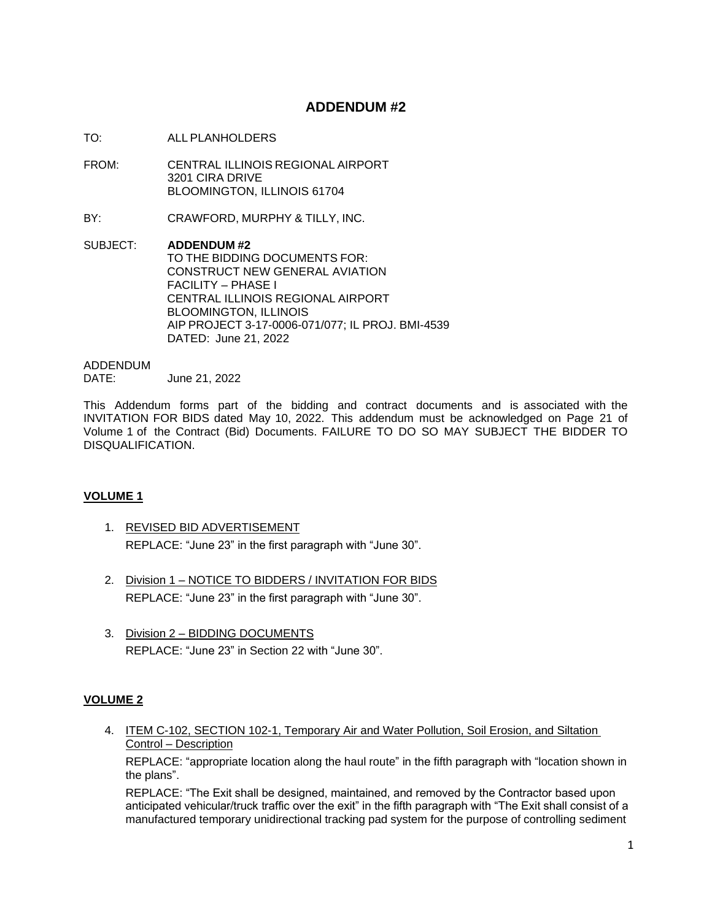# **ADDENDUM #2**

- TO: ALL PLANHOLDERS
- FROM: CENTRAL ILLINOIS REGIONAL AIRPORT 3201 CIRA DRIVE BLOOMINGTON, ILLINOIS 61704
- BY: CRAWFORD, MURPHY & TILLY, INC.
- SUBJECT: **ADDENDUM #2** TO THE BIDDING DOCUMENTS FOR: CONSTRUCT NEW GENERAL AVIATION FACILITY – PHASE I CENTRAL ILLINOIS REGIONAL AIRPORT BLOOMINGTON, ILLINOIS AIP PROJECT 3-17-0006-071/077; IL PROJ. BMI-4539 DATED: June 21, 2022

### ADDENDUM

DATE: June 21, 2022

This Addendum forms part of the bidding and contract documents and is associated with the INVITATION FOR BIDS dated May 10, 2022. This addendum must be acknowledged on Page 21 of Volume 1 of the Contract (Bid) Documents. FAILURE TO DO SO MAY SUBJECT THE BIDDER TO DISQUALIFICATION.

# **VOLUME 1**

- 1. REVISED BID ADVERTISEMENT REPLACE: "June 23" in the first paragraph with "June 30".
- 2. Division 1 NOTICE TO BIDDERS / INVITATION FOR BIDS REPLACE: "June 23" in the first paragraph with "June 30".
- 3. Division 2 BIDDING DOCUMENTS REPLACE: "June 23" in Section 22 with "June 30".

# **VOLUME 2**

4. ITEM C-102, SECTION 102-1, Temporary Air and Water Pollution, Soil Erosion, and Siltation Control – Description

REPLACE: "appropriate location along the haul route" in the fifth paragraph with "location shown in the plans".

REPLACE: "The Exit shall be designed, maintained, and removed by the Contractor based upon anticipated vehicular/truck traffic over the exit" in the fifth paragraph with "The Exit shall consist of a manufactured temporary unidirectional tracking pad system for the purpose of controlling sediment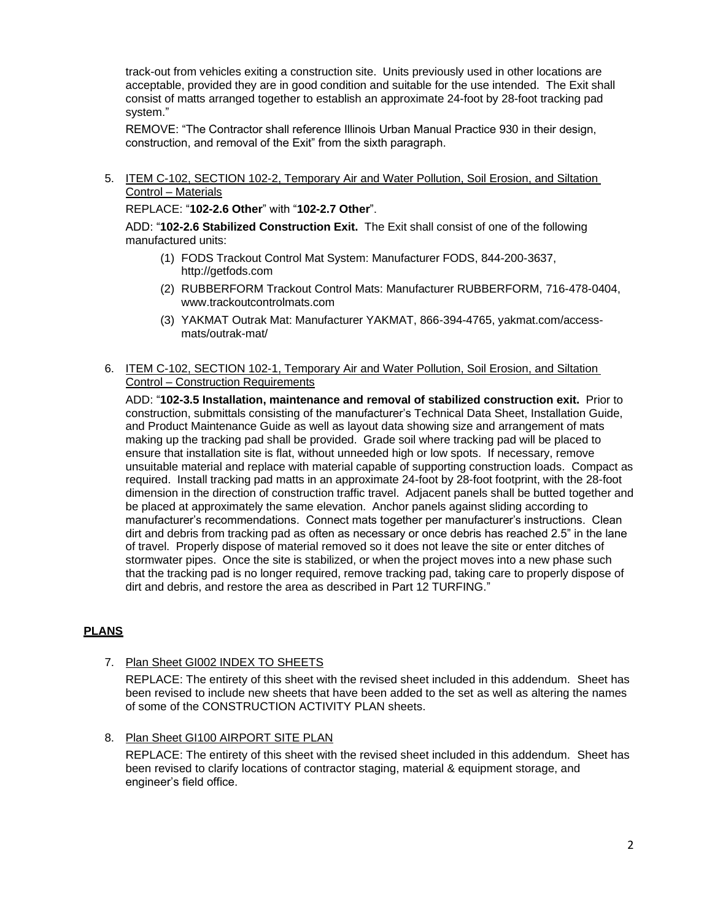track-out from vehicles exiting a construction site. Units previously used in other locations are acceptable, provided they are in good condition and suitable for the use intended. The Exit shall consist of matts arranged together to establish an approximate 24-foot by 28-foot tracking pad system."

REMOVE: "The Contractor shall reference Illinois Urban Manual Practice 930 in their design, construction, and removal of the Exit" from the sixth paragraph.

5. ITEM C-102, SECTION 102-2, Temporary Air and Water Pollution, Soil Erosion, and Siltation Control – Materials

REPLACE: "**102-2.6 Other**" with "**102-2.7 Other**".

ADD: "**102-2.6 Stabilized Construction Exit.** The Exit shall consist of one of the following manufactured units:

- (1) FODS Trackout Control Mat System: Manufacturer FODS, 844-200-3637, http://getfods.com
- (2) RUBBERFORM Trackout Control Mats: Manufacturer RUBBERFORM, 716-478-0404, www.trackoutcontrolmats.com
- (3) YAKMAT Outrak Mat: Manufacturer YAKMAT, 866-394-4765, yakmat.com/accessmats/outrak-mat/
- 6. ITEM C-102, SECTION 102-1, Temporary Air and Water Pollution, Soil Erosion, and Siltation Control – Construction Requirements

ADD: "**102-3.5 Installation, maintenance and removal of stabilized construction exit.** Prior to construction, submittals consisting of the manufacturer's Technical Data Sheet, Installation Guide, and Product Maintenance Guide as well as layout data showing size and arrangement of mats making up the tracking pad shall be provided. Grade soil where tracking pad will be placed to ensure that installation site is flat, without unneeded high or low spots. If necessary, remove unsuitable material and replace with material capable of supporting construction loads. Compact as required. Install tracking pad matts in an approximate 24-foot by 28-foot footprint, with the 28-foot dimension in the direction of construction traffic travel. Adjacent panels shall be butted together and be placed at approximately the same elevation. Anchor panels against sliding according to manufacturer's recommendations. Connect mats together per manufacturer's instructions. Clean dirt and debris from tracking pad as often as necessary or once debris has reached 2.5" in the lane of travel. Properly dispose of material removed so it does not leave the site or enter ditches of stormwater pipes. Once the site is stabilized, or when the project moves into a new phase such that the tracking pad is no longer required, remove tracking pad, taking care to properly dispose of dirt and debris, and restore the area as described in Part 12 TURFING."

# **PLANS**

7. Plan Sheet GI002 INDEX TO SHEETS

REPLACE: The entirety of this sheet with the revised sheet included in this addendum. Sheet has been revised to include new sheets that have been added to the set as well as altering the names of some of the CONSTRUCTION ACTIVITY PLAN sheets.

8. Plan Sheet GI100 AIRPORT SITE PLAN

REPLACE: The entirety of this sheet with the revised sheet included in this addendum. Sheet has been revised to clarify locations of contractor staging, material & equipment storage, and engineer's field office.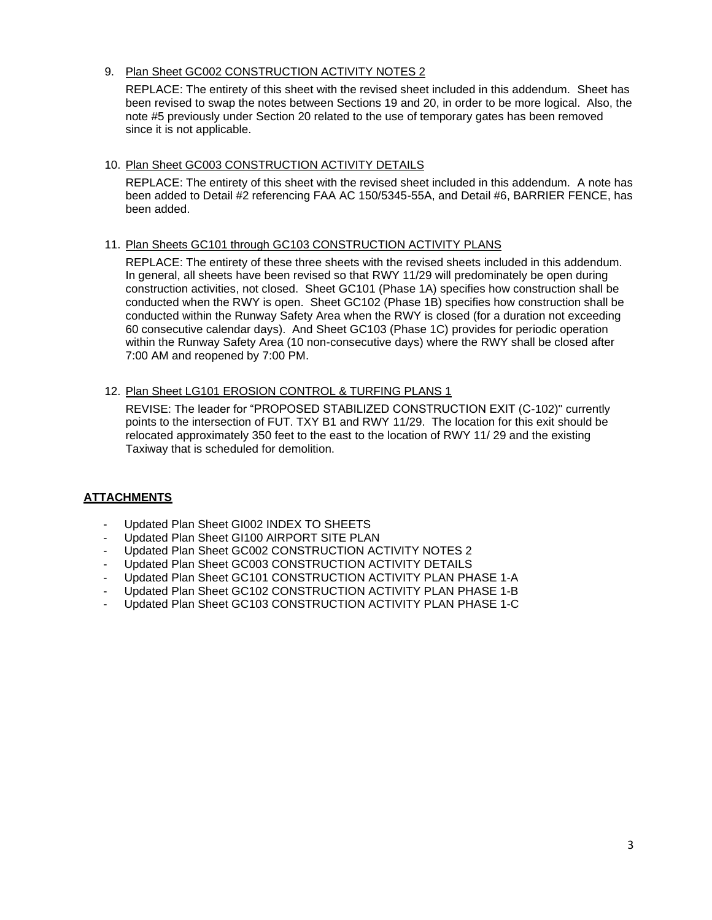9. Plan Sheet GC002 CONSTRUCTION ACTIVITY NOTES 2

REPLACE: The entirety of this sheet with the revised sheet included in this addendum. Sheet has been revised to swap the notes between Sections 19 and 20, in order to be more logical. Also, the note #5 previously under Section 20 related to the use of temporary gates has been removed since it is not applicable.

### 10. Plan Sheet GC003 CONSTRUCTION ACTIVITY DETAILS

REPLACE: The entirety of this sheet with the revised sheet included in this addendum. A note has been added to Detail #2 referencing FAA AC 150/5345-55A, and Detail #6, BARRIER FENCE, has been added.

### 11. Plan Sheets GC101 through GC103 CONSTRUCTION ACTIVITY PLANS

REPLACE: The entirety of these three sheets with the revised sheets included in this addendum. In general, all sheets have been revised so that RWY 11/29 will predominately be open during construction activities, not closed. Sheet GC101 (Phase 1A) specifies how construction shall be conducted when the RWY is open. Sheet GC102 (Phase 1B) specifies how construction shall be conducted within the Runway Safety Area when the RWY is closed (for a duration not exceeding 60 consecutive calendar days). And Sheet GC103 (Phase 1C) provides for periodic operation within the Runway Safety Area (10 non-consecutive days) where the RWY shall be closed after 7:00 AM and reopened by 7:00 PM.

### 12. Plan Sheet LG101 EROSION CONTROL & TURFING PLANS 1

REVISE: The leader for "PROPOSED STABILIZED CONSTRUCTION EXIT (C-102)" currently points to the intersection of FUT. TXY B1 and RWY 11/29. The location for this exit should be relocated approximately 350 feet to the east to the location of RWY 11/ 29 and the existing Taxiway that is scheduled for demolition.

# **ATTACHMENTS**

- Updated Plan Sheet GI002 INDEX TO SHEETS
- Updated Plan Sheet GI100 AIRPORT SITE PLAN
- Updated Plan Sheet GC002 CONSTRUCTION ACTIVITY NOTES 2
- Updated Plan Sheet GC003 CONSTRUCTION ACTIVITY DETAILS
- Updated Plan Sheet GC101 CONSTRUCTION ACTIVITY PLAN PHASE 1-A
- Updated Plan Sheet GC102 CONSTRUCTION ACTIVITY PLAN PHASE 1-B
- Updated Plan Sheet GC103 CONSTRUCTION ACTIVITY PLAN PHASE 1-C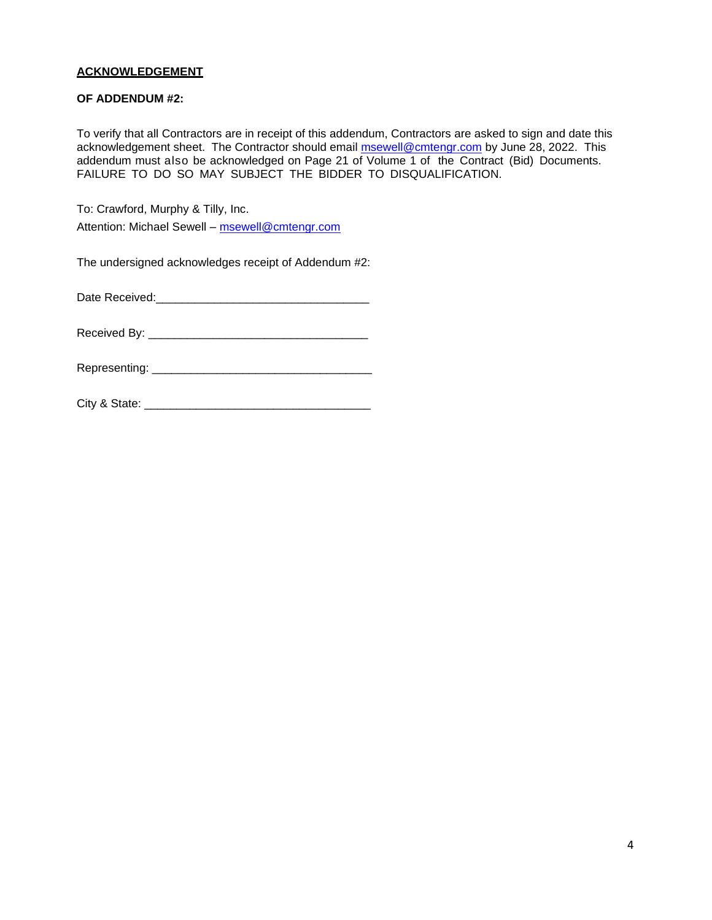# **ACKNOWLEDGEMENT**

### **OF ADDENDUM #2:**

To verify that all Contractors are in receipt of this addendum, Contractors are asked to sign and date this acknowledgement sheet. The Contractor should email **msewell@cmtengr.com** by June 28, 2022. This addendum must also be acknowledged on Page 21 of Volume 1 of the Contract (Bid) Documents. FAILURE TO DO SO MAY SUBJECT THE BIDDER TO DISQUALIFICATION.

To: Crawford, Murphy & Tilly, Inc. Attention: Michael Sewell – [msewell@cmtengr.com](mailto:msewell@cmtengr.com)

The undersigned acknowledges receipt of Addendum #2:

Date Received:\_\_\_\_\_\_\_\_\_\_\_\_\_\_\_\_\_\_\_\_\_\_\_\_\_\_\_\_\_\_\_\_\_

Received By: \_\_\_\_\_\_\_\_\_\_\_\_\_\_\_\_\_\_\_\_\_\_\_\_\_\_\_\_\_\_\_\_\_\_

Representing: \_\_\_\_\_\_\_\_\_\_\_\_\_\_\_\_\_\_\_\_\_\_\_\_\_\_\_\_\_\_\_\_\_\_

City & State: \_\_\_\_\_\_\_\_\_\_\_\_\_\_\_\_\_\_\_\_\_\_\_\_\_\_\_\_\_\_\_\_\_\_\_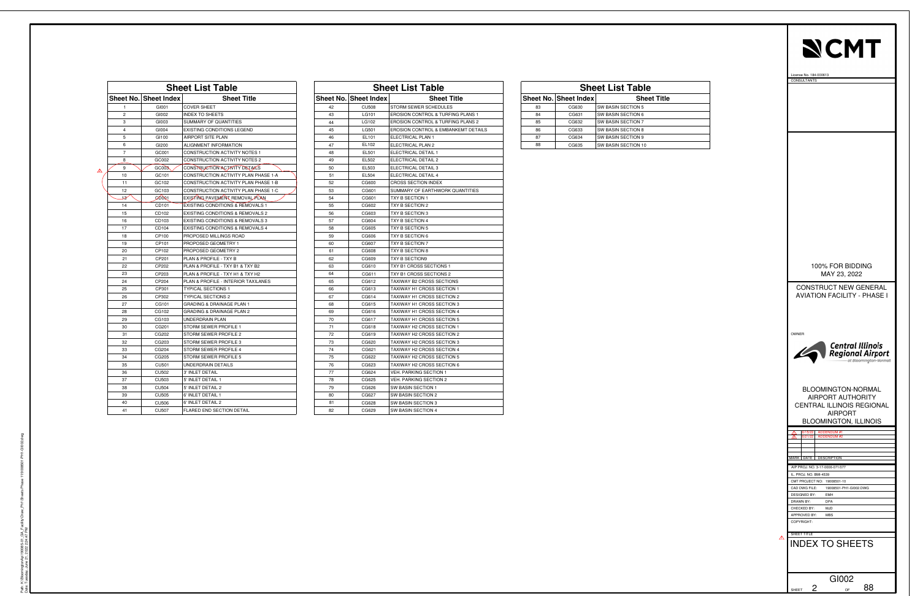| <b>Sheet List Table</b> |                       |                                             |  |  |
|-------------------------|-----------------------|---------------------------------------------|--|--|
|                         | Sheet No. Sheet Index | <b>Sheet Title</b>                          |  |  |
| 1                       | GI001                 | <b>COVER SHEET</b>                          |  |  |
| 2                       | GI002                 | <b>INDEX TO SHEETS</b>                      |  |  |
| 3                       | GI003                 | <b>SUMMARY OF QUANTITIES</b>                |  |  |
| 4                       | GI004                 | <b>EXISTING CONDITIONS LEGEND</b>           |  |  |
| 5                       | GI100                 | <b>AIRPORT SITE PLAN</b>                    |  |  |
| 6                       | GI200                 | ALIGNMENT INFORMATION                       |  |  |
| 7                       | GC001                 | CONSTRUCTION ACTIVITY NOTES 1               |  |  |
| 8                       | GC002                 | <b>CONSTRUCTION ACTIVITY NOTES 2</b>        |  |  |
| 9                       | GC003                 | CONSTRUCTION ACTIVITY DETAILS               |  |  |
| 10                      | GC101                 | CONSTRUCTION ACTIVITY PLAN PHASE 1-A        |  |  |
| 11                      | GC102                 | CONSTRUCTION ACTIVITY PLAN PHASE 1-B        |  |  |
| 12                      | GC103                 | CONSTRUCTION ACTIVITY PLAN PHASE 1-C        |  |  |
| 18                      | COOR1                 | EXISTING PAVEMENT REMOVAL PLAN              |  |  |
| 14                      | CD101                 | EXISTING CONDITIONS & REMOVALS 1            |  |  |
| 15                      | CD102                 | <b>EXISTING CONDITIONS &amp; REMOVALS 2</b> |  |  |
| 16                      | CD103                 | <b>EXISTING CONDITIONS &amp; REMOVALS 3</b> |  |  |
| 17                      | CD104                 | <b>EXISTING CONDITIONS &amp; REMOVALS 4</b> |  |  |
| 18                      | CP100                 | PROPOSED MILLINGS ROAD                      |  |  |
| 19                      | CP101                 | PROPOSED GEOMETRY 1                         |  |  |
| 20                      | CP102                 | PROPOSED GEOMETRY 2                         |  |  |
| 21                      | CP201                 | PLAN & PROFILE - TXY B                      |  |  |
| 22                      | CP202                 | PLAN & PROFILE - TXY B1 & TXY B2            |  |  |
| 23                      | CP203                 | PLAN & PROFILE - TXY H1 & TXY H2            |  |  |
| 24                      | CP204                 | PLAN & PROFILE - INTERIOR TAXILANES         |  |  |
| 25                      | CP301                 | <b>TYPICAL SECTIONS 1</b>                   |  |  |
| 26                      | CP302                 | <b>TYPICAL SECTIONS 2</b>                   |  |  |
| 27                      | CG101                 | <b>GRADING &amp; DRAINAGE PLAN 1</b>        |  |  |
| 28                      | CG102                 | <b>GRADING &amp; DRAINAGE PLAN 2</b>        |  |  |
| 29                      | CG103                 | UNDERDRAIN PLAN                             |  |  |
| 30                      | CG201                 | STORM SEWER PROFILE 1                       |  |  |
| 31                      | CG202                 | STORM SEWER PROFILE 2                       |  |  |
| 32                      | CG203                 | STORM SEWER PROFILE 3                       |  |  |
| 33                      | CG204                 | STORM SEWER PROFILE 4                       |  |  |
| 34                      | CG205                 | STORM SEWER PROFILE 5                       |  |  |
| 35                      | <b>CU501</b>          | UNDERDRAIN DETAILS                          |  |  |
| 36                      | <b>CU502</b>          | 3' INLET DETAIL                             |  |  |
| 37                      | CU503                 | 5' INLET DETAIL 1                           |  |  |
| 38                      | <b>CU504</b>          | 5' INLET DETAIL 2                           |  |  |
| 39                      | <b>CU505</b>          | 6' INLET DETAIL 1                           |  |  |
| 40                      | <b>CU506</b>          | 6' INLET DETAIL 2                           |  |  |
| 41                      | <b>CU507</b>          | <b>FLARED END SECTION DETAIL</b>            |  |  |

| <b>Sheet List Table</b> |                      |                                              |  |  |  |
|-------------------------|----------------------|----------------------------------------------|--|--|--|
|                         | heet No. Sheet Index | <b>Sheet Title</b>                           |  |  |  |
| 42                      | <b>CU508</b>         | STORM SEWER SCHEDULES                        |  |  |  |
| 43                      | LG101                | EROSION CONTROL & TURFING PLANS 1            |  |  |  |
| 44                      | LG102                | <b>EROSION CONTROL &amp; TURFING PLANS 2</b> |  |  |  |
| 45                      | LG501                | EROSION CONTROL & EMBANKEMT DETAILS          |  |  |  |
| 46                      | EL101                | ELECTRICAL PLAN 1                            |  |  |  |
| 47                      | EL102                | ELECTRICAL PLAN 2                            |  |  |  |
| 48                      | EL501                | ELECTRICAL DETAIL 1                          |  |  |  |
| 49                      | EL502                | ELECTRICAL DETAIL 2                          |  |  |  |
| 50                      | EL503                | ELECTRICAL DETAIL 3                          |  |  |  |
| 51                      | EL504                | ELECTRICAL DETAIL 4                          |  |  |  |
| 52                      | CG600                | <b>CROSS SECTION INDEX</b>                   |  |  |  |
| 53                      | CG601                | SUMMARY OF EARTHWORK QUANTITIES              |  |  |  |
| 54                      | CG601                | TXY B SECTION 1                              |  |  |  |
| 55                      | CG602                | TXY B SECTION 2                              |  |  |  |
| 56                      | CG603                | TXY B SECTION 3                              |  |  |  |
| 57                      | CG604                | TXY B SECTION 4                              |  |  |  |
| 58                      | CG605                | TXY B SECTION 5                              |  |  |  |
| 59                      | CG606                | TXY B SECTION 6                              |  |  |  |
| 60                      | CG607                | TXY B SECTION 7                              |  |  |  |
| 61                      | CG608                | TXY B SECTION 8                              |  |  |  |
| 62                      | CG609                | <b>TXY B SECTION9</b>                        |  |  |  |
| 63                      | CG610                | TXY B1 CROSS SECTIONS 1                      |  |  |  |
| 64                      | CG611                | TXY B1 CROSS SECTIONS 2                      |  |  |  |
| 65                      | CG612                | TAXIWAY B2 CROSS SECTIONS                    |  |  |  |
| 66                      | CG613                | TAXIWAY H1 CROSS SECTION 1                   |  |  |  |
| 67                      | CG614                | TAXIWAY H1 CROSS SECTION 2                   |  |  |  |
| 68                      | CG615                | <b>TAXIWAY H1 CROSS SECTION 3</b>            |  |  |  |
| 69                      | CG616                | TAXIWAY H1 CROSS SECTION 4                   |  |  |  |
| 70                      | CG617                | TAXIWAY H1 CROSS SECTION 5                   |  |  |  |
| 71                      | CG618                | TAXIWAY H2 CROSS SECTION 1                   |  |  |  |
| 72                      | CG619                | TAXIWAY H2 CROSS SECTION 2                   |  |  |  |
| 73                      | CG620                | TAXIWAY H2 CROSS SECTION 3                   |  |  |  |
| 74                      | CG621                | TAXIWAY H2 CROSS SECTION 4                   |  |  |  |
| 75                      | CG622                | TAXIWAY H2 CROSS SECTION 5                   |  |  |  |
| 76                      | CG623                | TAXIWAY H2 CROSS SECTION 6                   |  |  |  |
| 77                      | CG624                | <b>VEH. PARKING SECTION 1</b>                |  |  |  |
| 78                      | CG625                | <b>VEH. PARKING SECTION 2</b>                |  |  |  |
| 79                      | CG626                | SW BASIN SECTION 1                           |  |  |  |
| 80                      | CG627                | SW BASIN SECTION 2                           |  |  |  |
| 81                      | CG628                | SW BASIN SECTION 3                           |  |  |  |
| 82                      | CG629                | SW BASIN SECTION 4                           |  |  |  |

| <b>Sheet List Table</b> |                      |                      |  |  |
|-------------------------|----------------------|----------------------|--|--|
|                         | าeet No. Sheet Index | <b>Sheet Title</b>   |  |  |
| 83                      | CG630                | SW BASIN SECTION 5   |  |  |
| 84                      | CG631                | SW BASIN SECTION 6   |  |  |
| 85                      | CG632                | SW BASIN SECTION 7   |  |  |
| 86                      | CG633                | SW BASIN SECTION 8   |  |  |
| 87                      | CG634                | SW BASIN SECTION 9   |  |  |
| $\Omega$                | CCERE                | CIM RACIN CECTION 10 |  |  |



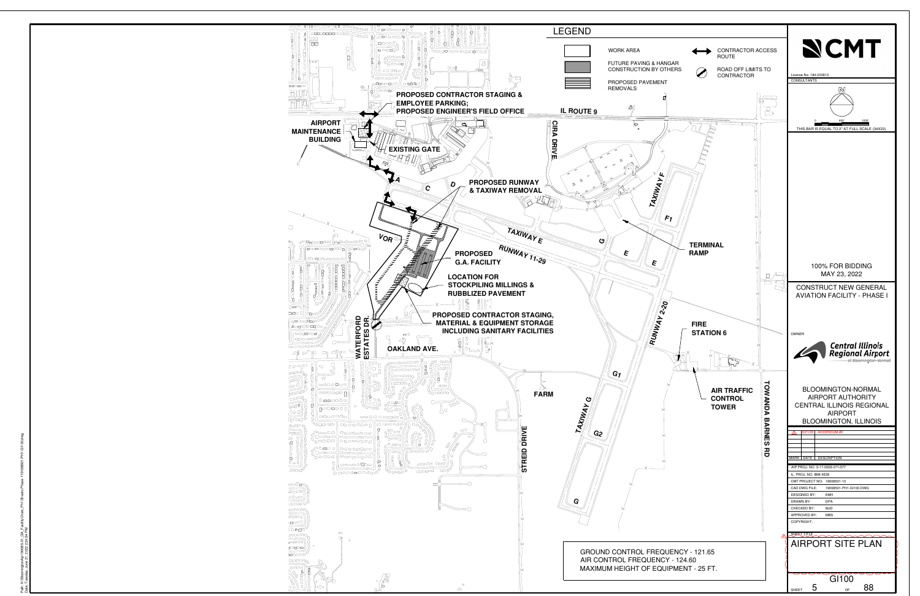<span id="page-5-0"></span>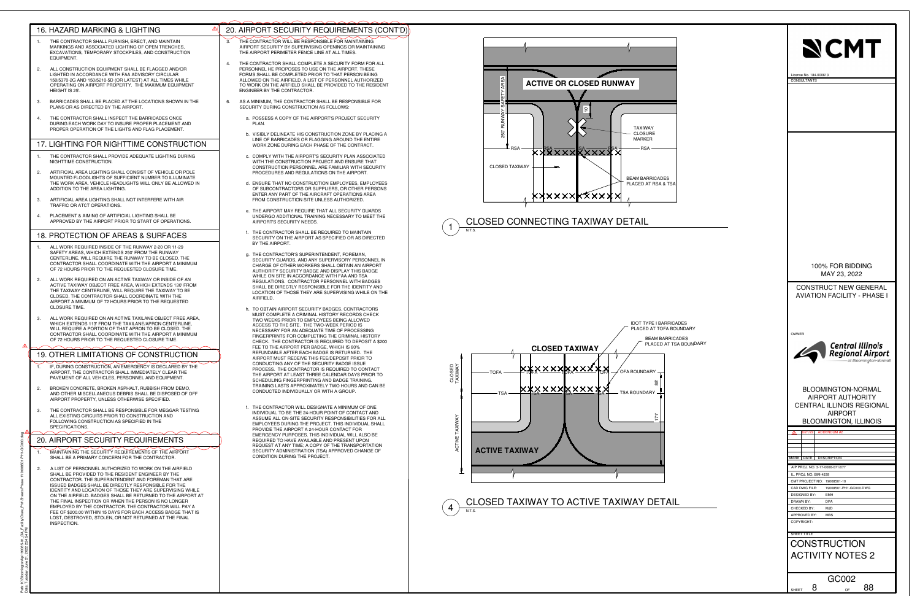



<span id="page-6-0"></span>

| 16. HAZARD MARKING & LIGHTING<br>THE CONTRACTOR SHALL FURNISH, ERECT, AND MAINTAIN<br>$\overline{1}$ .<br>MARKINGS AND ASSOCIATED LIGHTING OF OPEN TRENCHES,                                                                                                                                                                                                                                | 20. AIRPORT SECURITY REQUIREMENTS (CONT'D)<br>THE CONTRACTOR WILL BE RESPONSIBLE FOR MAINTAINING<br>3.<br>AIRPORT SECURITY BY SUPERVISING OPENINGS OR MAINTAINING                                                                                                                                                                                                                                                                                |                                                                                                                                       |                                                                                                                                     |
|---------------------------------------------------------------------------------------------------------------------------------------------------------------------------------------------------------------------------------------------------------------------------------------------------------------------------------------------------------------------------------------------|--------------------------------------------------------------------------------------------------------------------------------------------------------------------------------------------------------------------------------------------------------------------------------------------------------------------------------------------------------------------------------------------------------------------------------------------------|---------------------------------------------------------------------------------------------------------------------------------------|-------------------------------------------------------------------------------------------------------------------------------------|
| EXCAVATIONS, TEMPORARY STOCKPILES, AND CONSTRUCTION<br>EQUIPMENT.<br>ALL CONSTRUCTION EQUIPMENT SHALL BE FLAGGED AND/OR<br>2.<br>LIGHTED IN ACCORDANCE WITH FAA ADVISORY CIRCULAR<br>150/5370-2G AND 150/5210-5D (OR LATEST) AT ALL TIMES WHILE<br>OPFRATING ON AIRPORT PROPERTY. THE MAXIMUM FOUIPMENT<br>HEIGHT IS 25'.<br>BARRICADES SHALL BE PLACED AT THE LOCATIONS SHOWN IN THE<br>3. | THE AIRPORT PERIMETER FENCE LINE AT ALL TIMES.<br>THE CONTRACTOR SHALL COMPLETE A SECURITY FORM FOR ALL<br>4.<br>PERSONNEL HE PROPOSES TO USE ON THE AIRPORT. THESE<br>FORMS SHALL BE COMPLETED PRIOR TO THAT PERSON BEING<br>ALLOWED ON THE AIRFIELD. A LIST OF PERSONNEL AUTHORIZED<br>TO WORK ON THE AIRFIELD SHALL BE PROVIDED TO THE RESIDENT<br>ENGINEER BY THE CONTRACTOR.<br>AS A MINIMUM, THE CONTRACTOR SHALL BE RESPONSIBLE FOR<br>6. | <b>ACTIVE OR CLOSED RUNWAY</b>                                                                                                        | <b>NCMT</b><br>License No. 184-000613<br><b>CONSULTANTS</b>                                                                         |
| PLANS OR AS DIRECTED BY THE AIRPORT.<br>THE CONTRACTOR SHALL INSPECT THE BARRICADES ONCE<br>4.<br>DURING EACH WORK DAY TO INSURE PROPER PLACEMENT AND<br>PROPER OPERATION OF THE LIGHTS AND FLAG PLACEMENT.                                                                                                                                                                                 | SECURITY DURING CONSTRUCTION AS FOLLOWS:<br>a. POSSESS A COPY OF THE AIRPORT'S PROJECT SECURITY<br>PLAN.<br>b. VISIBLY DELINEATE HIS CONSTRUCTION ZONE BY PLACING A                                                                                                                                                                                                                                                                              | <b>TAXIWAY</b><br><b>CLOSURE</b>                                                                                                      |                                                                                                                                     |
| 17. LIGHTING FOR NIGHTTIME CONSTRUCTION<br>$\overline{1}$ .<br>THE CONTRACTOR SHALL PROVIDE ADEQUATE LIGHTING DURING<br>NIGHTTIME CONSTRUCTION.                                                                                                                                                                                                                                             | LINE OF BARRICADES OR FLAGGING AROUND THE ENTIRE<br>WORK ZONE DURING FACH PHASE OF THE CONTRACT.<br>c. COMPLY WITH THE AIRPORT'S SECURITY PLAN ASSOCIATED<br>WITH THE CONSTRUCTION PROJECT AND ENSURE THAT                                                                                                                                                                                                                                       | <b>MARKER</b><br>- RSA<br><u>XXXXXXXXXXX</u> X                                                                                        |                                                                                                                                     |
| 2.<br>ARTIFICIAL AREA LIGHTING SHALL CONSIST OF VEHICLE OR POLE<br>MOUNTED FLOODLIGHTS OF SUFFICIENT NUMBER TO ILLUMINATE<br>THE WORK AREA. VEHICLE HEADLIGHTS WILL ONLY BE ALLOWED IN<br>ADDITION TO THE AREA LIGHTING.                                                                                                                                                                    | CONSTRUCTION PERSONNEL ARE FAMILIAR WITH SECURITY<br>PROCEDURES AND REGULATIONS ON THE AIRPORT.<br>d. ENSURE THAT NO CONSTRUCTION EMPLOYEES, EMPLOYEES<br>OF SUBCONTRACTORS OR SUPPLIERS, OR OTHER PERSONS<br>ENTER ANY PART OF THE AIRCRAFT OPERATIONS AREA                                                                                                                                                                                     | <b>CLOSED TAXIWAY</b><br><b>BEAM BARRICADES</b><br>PLACED AT RSA & TSA                                                                |                                                                                                                                     |
| 3.<br>ARTIFICIAL AREA LIGHTING SHALL NOT INTERFERE WITH AIR<br>TRAFFIC OR ATCT OPERATIONS.<br>PLACEMENT & AIMING OF ARTIFICIAL LIGHTING SHALL BE<br>4.<br>APPROVED BY THE AIRPORT PRIOR TO START OF OPERATIONS.                                                                                                                                                                             | FROM CONSTRUCTION SITE UNLESS AUTHORIZED.<br>e. THE AIRPORT MAY REQUIRE THAT ALL SECURITY GUARDS<br>UNDERGO ADDITIONAL TRAINING NECESSARY TO MEET THE<br>AIRPORT'S SECURITY NEEDS.                                                                                                                                                                                                                                                               | <b>XXXXXXXXXXXX</b><br><b>CLOSED CONNECTING TAXIWAY DETAIL</b>                                                                        |                                                                                                                                     |
| 18. PROTECTION OF AREAS & SURFACES                                                                                                                                                                                                                                                                                                                                                          | f. THE CONTRACTOR SHALL BE REQUIRED TO MAINTAIN<br>SECURITY ON THE AIRPORT AS SPECIFIED OR AS DIRECTED<br>BY THE AIRPORT.                                                                                                                                                                                                                                                                                                                        |                                                                                                                                       |                                                                                                                                     |
| ALL WORK REQUIRED INSIDE OF THE RUNWAY 2-20 OR 11-29<br>$\overline{1}$ .<br>SAFETY AREAS, WHICH EXTENDS 250' FROM THE RUNWAY<br>CENTERLINE, WILL REQUIRE THE RUNWAY TO BE CLOSED. THE<br>CONTRACTOR SHALL COORDINATE WITH THE AIRPORT A MINIMUM<br>OF 72 HOURS PRIOR TO THE REQUESTED CLOSURE TIME.                                                                                         | g. THE CONTRACTOR'S SUPERINTENDENT, FOREMAN,<br>SECURITY GUARDS, AND ANY SUPERVISORY PERSONNEL IN<br>CHARGE OF OTHER WORKERS SHALL OBTAIN AN AIRPORT<br>AUTHORITY SECURITY BADGE AND DISPLAY THIS BADGE<br>WHILE ON SITE IN ACCORDANCE WITH FAA AND TSA                                                                                                                                                                                          |                                                                                                                                       | 100% FOR BIDDING<br>MAY 23, 2022                                                                                                    |
| ALL WORK REQUIRED ON AN ACTIVE TAXIWAY OR INSIDE OF AN<br>2.<br>ACTIVE TAXIWAY OBJECT FREE AREA, WHICH EXTENDS 130' FROM<br>THE TAXIWAY CENTERLINE, WILL REQUIRE THE TAXIWAY TO BE<br>CLOSED. THE CONTRACTOR SHALL COORDINATE WITH THE<br>AIRPORT A MINIMUM OF 72 HOURS PRIOR TO THE REQUESTED<br><b>CLOSURE TIME.</b>                                                                      | REGULATIONS. CONTRACTOR PERSONNEL WITH BADGES<br>SHALL BE DIRECTLY RESPONSIBLE FOR THE IDENTITY AND<br>LOCATION OF THOSE THEY ARE SUPERVISING WHILE ON THE<br>AIRFIELD.<br>h. TO OBTAIN AIRPORT SECURITY BADGES, CONTRACTORS                                                                                                                                                                                                                     |                                                                                                                                       | <b>CONSTRUCT NEW GENERAL</b><br><b>AVIATION FACILITY - PHASE I</b>                                                                  |
| ALL WORK REQUIRED ON AN ACTIVE TAXILANE OBJECT FREE AREA,<br>3.<br>WHICH EXTENDS 113' FROM THE TAXILANE/APRON CENTERLINE,<br>WILL REQUIRE A PORTION OF THAT APRON TO BE CLOSED. THE<br>CONTRACTOR SHALL COORDINATE WITH THE AIRPORT A MINIMUM<br>OF 72 HOURS PRIOR TO THE REQUESTED CLOSURE TIME.                                                                                           | MUST COMPLETE A CRIMINAL HISTORY RECORDS CHECK<br>TWO WEEKS PRIOR TO EMPLOYEES BEING ALLOWED<br>ACCESS TO THE SITE. THE TWO-WEEK PERIOD IS<br>NECESSARY FOR AN ADEQUATE TIME OF PROCESSING<br>FINGERPRINTS FOR COMPLETING THE CRIMINAL HISTORY<br>CHECK. THE CONTRACTOR IS REQUIRED TO DEPOSIT A \$200<br>FEE TO THE AIRPORT PER BADGE. WHICH IS 80%                                                                                             | <b>IDOT TYPE I BARRICADES</b><br>PLACED AT TOFA BOUNDARY<br><b>BEAM BARRICADES</b><br>PLACED AT TSA BOUNDARY<br><b>CLOSED TAXIWAY</b> | OWNER<br>Central Illinois<br>Regional Airport                                                                                       |
| 19. OTHER LIMITATIONS OF CONSTRUCTION<br>IF, DURING CONSTRUCTION, AN EMERGENCY IS DECLARED BY THE<br>1.<br>AIRPORT, THE CONTRACTOR SHALL IMMEDIATELY CLEAR THE<br>PAVEMENT OF ALL VEHICLES, PERSONNEL AND EQUIPMENT.                                                                                                                                                                        | REFUNDABLE AFTER EACH BADGE IS RETURNED. THE<br>AIRPORT MUST RECEIVE THIS FEE/DEPOSIT PRIOR TO<br>CONDUCTING ANY OF THE SECURITY BADGE ISSUE<br>PROCESS. THE CONTRACTOR IS REQUIRED TO CONTACT<br>THE AIRPORT AT LEAST THREE CALENDAR DAYS PRIOR TO<br>SCHEDULING FINGERPRINTING AND BADGE TRAINING.<br>TRAINING LASTS APPROXIMATELY TWO HOURS AND CAN BE                                                                                        | CLOSED<br>TAXIWAY<br><b>XXXXXXXXXXXX</b><br>$\rightarrow$ OFA BOUNDARY $\_$                                                           |                                                                                                                                     |
| BROKEN CONCRETE, BROKEN ASPHALT, RUBBISH FROM DEMO,<br>2.<br>AND OTHER MISCELLANEOUS DEBRIS SHALL BE DISPOSED OF OFF<br>AIRPORT PROPERTY, UNLESS OTHERWISE SPECIFIED.<br>THE CONTRACTOR SHALL BE RESPONSIBLE FOR MEGGAR TESTING<br>3.                                                                                                                                                       | CONDUCTED INDIVIDUALLY OR WITH A GROUP.<br>f. THE CONTRACTOR WILL DESIGNATE A MINIMUM OF ONE                                                                                                                                                                                                                                                                                                                                                     | <b>XXXXXXXXXXXX</b><br><b>TSA</b><br>- TSA BOUNDARY -                                                                                 | <b>BLOOMINGTON-NORMAL</b><br>AIRPORT AUTHORITY<br><b>CENTRAL ILLINOIS REGIONAL</b>                                                  |
| ALL EXISTING CIRCUITS PRIOR TO CONSTRUCTION AND<br>FOLLOWING CONSTRUCTION AS SPECIFIED IN THE<br>SPECIFICATIONS.                                                                                                                                                                                                                                                                            | INDIVIDUAL TO BE THE 24-HOUR POINT OF CONTACT AND<br>ASSUME ALL ON-SITE SECURITY RESPONSIBILITIES FOR ALL<br>EMPLOYEES DURING THE PROJECT. THIS INDIVIDUAL SHALL<br>PROVIDE THE AIRPORT A 24-HOUR CONTACT FOR<br>EMERGENCY PURPOSES. THIS INDIVIDUAL WILL ALSO BE                                                                                                                                                                                |                                                                                                                                       | <b>AIRPORT</b><br><b>BLOOMINGTON, ILLINOIS</b><br><b>ADDENDUM #2</b>                                                                |
| 20. AIRPORT SECURITY REQUIREMENTS<br>MAINTAINING THE SECURITY REQUIREMENTS OF THE AIRPORT<br>SHALL BE A PRIMARY CONCERN FOR THE CONTRACTOR.                                                                                                                                                                                                                                                 | REQUIRED TO HAVE AVAILABLE AND PRESENT UPON<br>REQUEST AT ANY TIME; A COPY OF THE TRANSPORTATION<br>SECURITY ADMINISTRATION (TSA) APPROVED CHANGE OF<br>CONDITION DURING THE PROJECT.                                                                                                                                                                                                                                                            | <b>ACTIVE TAXIWAY</b>                                                                                                                 | <b>MARK DATE DESCRIPTION</b>                                                                                                        |
| A LIST OF PERSONNEL AUTHORIZED TO WORK ON THE AIRFIELD<br>2.<br>SHALL BE PROVIDED TO THE RESIDENT ENGINEER BY THE<br>CONTRACTOR. THE SUPERINTENDENT AND FOREMAN THAT ARE<br>ISSUED BADGES SHALL BE DIRECTLY RESPONSIBLE FOR THE<br>IDENTITY AND LOCATION OF THOSE THEY ARE SUPERVISING WHILE                                                                                                |                                                                                                                                                                                                                                                                                                                                                                                                                                                  |                                                                                                                                       | AIP PROJ. NO. 3-17-0006-071/077<br>IL. PROJ. NO. BMI-4539<br>CMT PROJECT NO: 19008501-10<br>19008501-PH1-GC000.DWG<br>CAD DWG FILE: |
| ON THE AIRFIELD. BADGES SHALL BE RETURNED TO THE AIRPORT AT<br>THE FINAL INSPECTION OR WHEN THE PERSON IS NO LONGER<br>EMPLOYED BY THE CONTRACTOR. THE CONTRACTOR WILL PAY A<br>FEE OF \$200.00 WITHIN 15 DAYS FOR EACH ACCESS BADGE THAT IS<br>LOST, DESTROYED, STOLEN, OR NOT RETURNED AT THE FINAL                                                                                       |                                                                                                                                                                                                                                                                                                                                                                                                                                                  | CLOSED TAXIWAY TO ACTIVE TAXIWAY DETAIL<br>$\left 4\right\rangle$<br>N.T.S.                                                           | <b>DESIGNED BY:</b><br>EMH<br>DRAWN BY:<br><b>DPA</b><br><b>MJD</b><br>CHECKED BY:<br>APPROVED BY:<br>MBS<br>COPYRIGHT:             |
| INSPECTION.                                                                                                                                                                                                                                                                                                                                                                                 |                                                                                                                                                                                                                                                                                                                                                                                                                                                  |                                                                                                                                       | SHEET TITLE<br><b>CONSTRUCTION</b>                                                                                                  |
|                                                                                                                                                                                                                                                                                                                                                                                             |                                                                                                                                                                                                                                                                                                                                                                                                                                                  |                                                                                                                                       | <b>ACTIVITY NOTES 2</b>                                                                                                             |

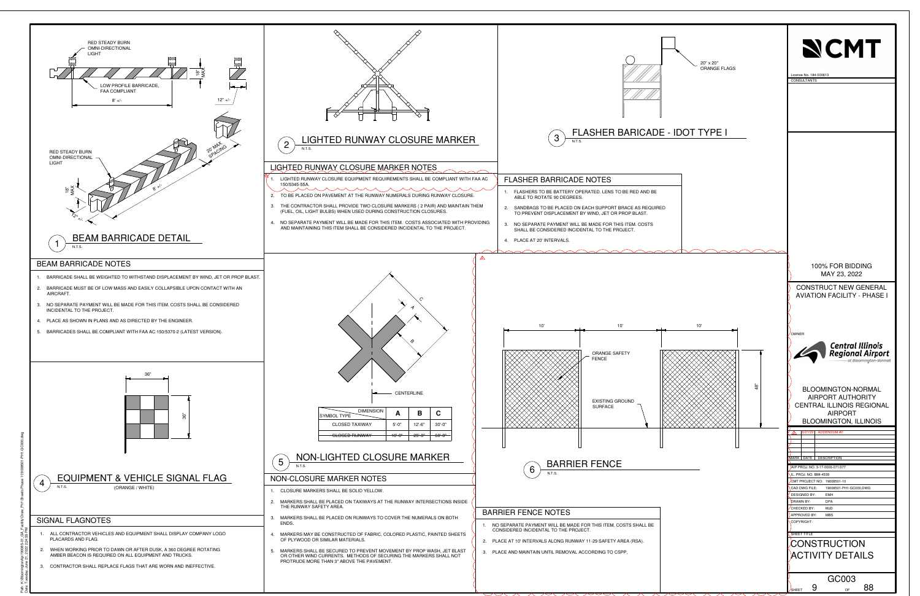<span id="page-7-0"></span>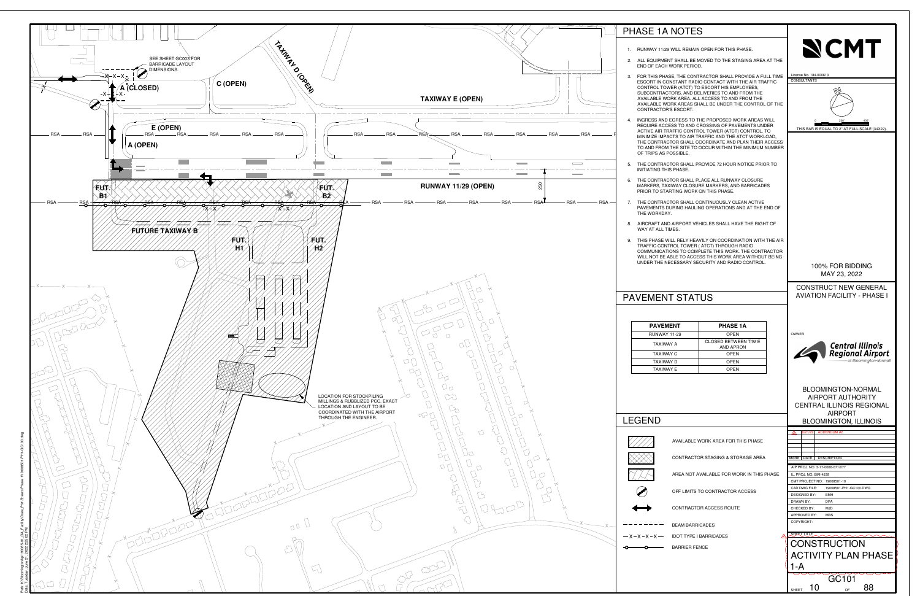<span id="page-8-0"></span>

- 
- 
- 
- 
- 
- 
- 
- 

|    | <b>PHASE 1A</b>                          |
|----|------------------------------------------|
| 29 | <b>OPEN</b>                              |
|    | CLOSED BETWEEN T/W F<br><b>AND APRON</b> |
|    | OPFN                                     |
|    | OPFN                                     |
|    | <b>OPEN</b>                              |



- 
- 
- 
- 
- 
- 
- 
- 
- 
-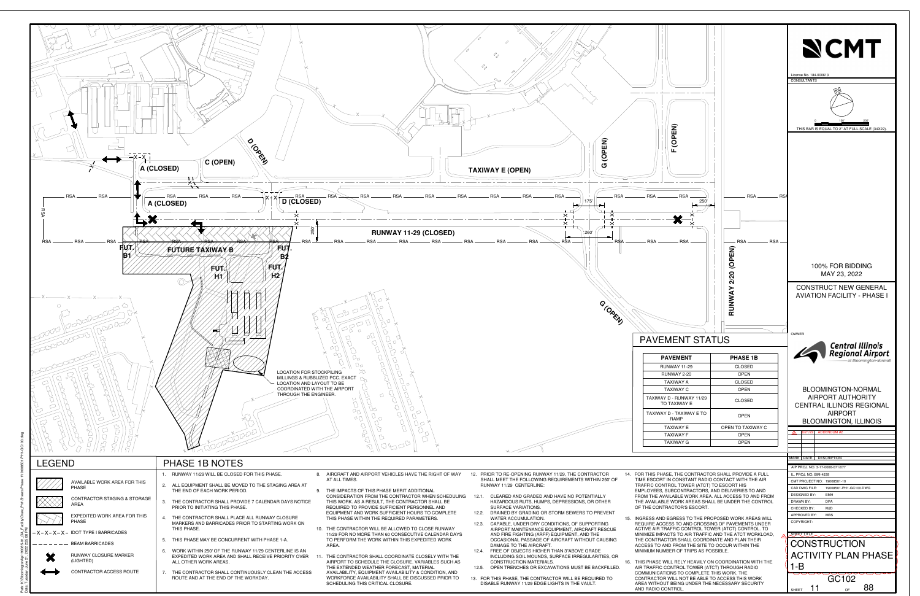<span id="page-9-0"></span>

- 
- 
- 
- 
- 
- 
- 
-